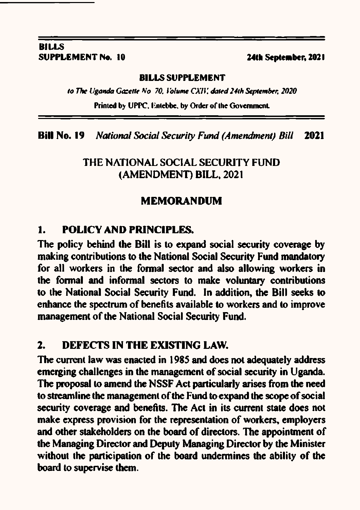### **BILLS SUPPLEMENT No. 10**

### 24th September, 2021

### **BILLS SUPPLEMENT**

to The Uganda Gazette No. 70, Volume CXIV, dated 24th September, 2020

Printed by UPPC, Entebbe, by Order of the Government.

**Bill No. 19 National Social Security Fund (Amendment) Bill** 2021

# THE NATIONAL SOCIAL SECURITY FUND (AMENDMENT) BILL, 2021

# **MEMORANDUM**

#### $\mathbf{1}$ **POLICY AND PRINCIPLES.**

The policy behind the Bill is to expand social security coverage by making contributions to the National Social Security Fund mandatory for all workers in the formal sector and also allowing workers in the formal and informal sectors to make voluntary contributions to the National Social Security Fund. In addition, the Bill seeks to enhance the spectrum of benefits available to workers and to improve management of the National Social Security Fund.

#### $2.$ DEFECTS IN THE EXISTING LAW.

The current law was enacted in 1985 and does not adequately address emerging challenges in the management of social security in Uganda. The proposal to amend the NSSF Act particularly arises from the need to streamline the management of the Fund to expand the scope of social security coverage and benefits. The Act in its current state does not make express provision for the representation of workers, employers and other stakeholders on the board of directors. The appointment of the Managing Director and Deputy Managing Director by the Minister without the participation of the board undermines the ability of the board to supervise them.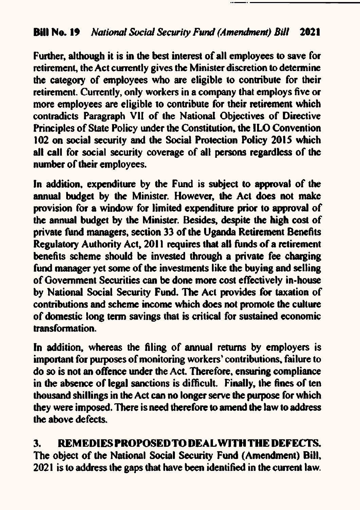Further, although it is in the best interest of all employees to save for retirement, the Act currently gives the Minister discretion to determine the category of employees who are eligible to contribute for their retirement. Currently, only workers in a company that employs five or more employees are eligible to contribute for their retirement which contradicts Paragraph VII of the National Objectives of Directive Principles of State Policy under the Constitution, the ILO Convention 102 on social security and the Social Protection Policy 2015 which all call for social security coverage of all persons regardless of the number of their employees.

In addition, expenditure by the Fund is subject to approval of the annual budget by the Minister. However, the Act does not make provision for a window for limited expenditure prior to approval of the annual budget by the Minister. Besides, despite the high cost of private fund managers, section 33 of the Uganda Retirement Benefits Regulatory Authority Act, 2011 requires that all funds of a retirement benefits scheme should be invested through a private fee charging fund manager vet some of the investments like the buying and selling of Government Securities can be done more cost effectively in-house by National Social Security Fund. The Act provides for taxation of contributions and scheme income which does not promote the culture of domestic long term savings that is critical for sustained economic transformation.

In addition, whereas the filing of annual returns by employers is important for purposes of monitoring workers' contributions, failure to do so is not an offence under the Act. Therefore, ensuring compliance in the absence of legal sanctions is difficult. Finally, the fines of ten thousand shillings in the Act can no longer serve the purpose for which they were imposed. There is need therefore to amend the law to address the above defects.

#### REMEDIES PROPOSED TO DEAL WITH THE DEFECTS. 3.

The object of the National Social Security Fund (Amendment) Bill, 2021 is to address the gaps that have been identified in the current law.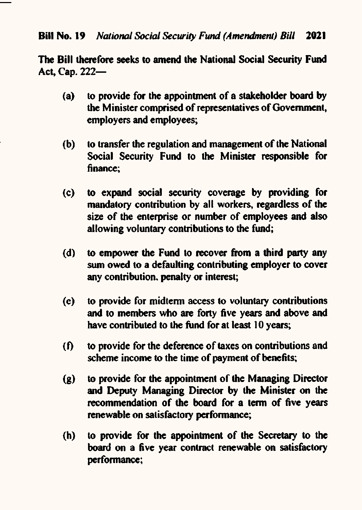The Bill therefore seeks to amend the National Social Security Fund Act, Cap. 222-

- to provide for the appointment of a stakeholder board by  $(a)$ the Minister comprised of representatives of Government, employers and employees:
- to transfer the regulation and management of the National  $(b)$ Social Security Fund to the Minister responsible for finance:
- to expand social security coverage by providing for  $(c)$ mandatory contribution by all workers, regardless of the size of the enterprise or number of employees and also allowing voluntary contributions to the fund;
- to empower the Fund to recover from a third party any  $(d)$ sum owed to a defaulting contributing employer to cover any contribution, penalty or interest;
- $(e)$ to provide for midterm access to voluntary contributions and to members who are forty five years and above and have contributed to the fund for at least 10 years;
- to provide for the deference of taxes on contributions and  $\mathbf{f}$ scheme income to the time of payment of benefits:
- $\left( \mathbf{g} \right)$ to provide for the appointment of the Managing Director and Deputy Managing Director by the Minister on the recommendation of the board for a term of five years renewable on satisfactory performance;
- to provide for the appointment of the Secretary to the  $(h)$ board on a five vear contract renewable on satisfactory performance: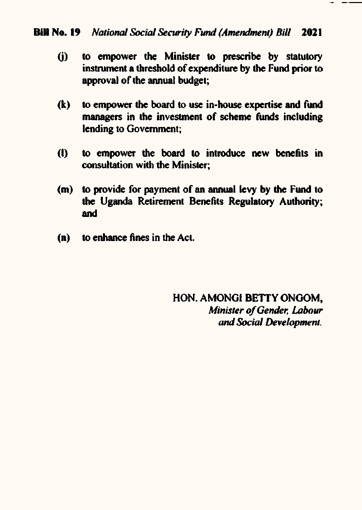### Bill No. 19 National Social Security Fund (Amendment) Bill 2021

- to empower the Minister to prescribe by statutory  $(i)$ instrument a threshold of expenditure by the Fund prior to approval of the annual budget;
- to empower the board to use in-house expertise and fund  $(k)$ managers in the investment of scheme funds including lending to Government:
- $(1)$ to empower the board to introduce new benefits in consultation with the Minister:
- to provide for payment of an annual levy by the Fund to  $(m)$ the Uganda Retirement Benefits Regulatory Authority: and
- to enhance fines in the Act.  $(n)$

HON. AMONGI BETTY ONGOM. Minister of Gender, Labour and Social Development.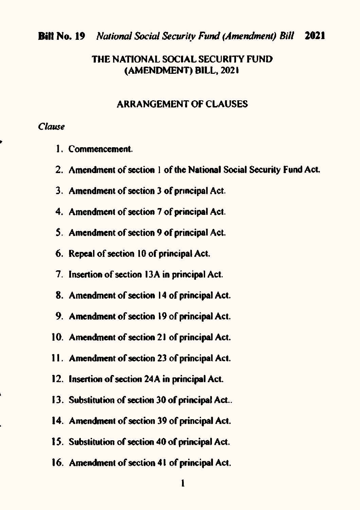### THE NATIONAL SOCIAL SECURITY FUND (AMENDMENT) BILL, 2021

### **ARRANGEMENT OF CLAUSES**

### Clause

- 1. Commencement.
- 2. Amendment of section 1 of the National Social Security Fund Act.
- 3. Amendment of section 3 of principal Act.
- 4. Amendment of section 7 of principal Act.
- 5. Amendment of section 9 of principal Act.
- 6. Repeal of section 10 of principal Act.
- 7. Insertion of section 13A in principal Act.
- 8. Amendment of section 14 of principal Act.
- 9. Amendment of section 19 of principal Act.
- 10. Amendment of section 21 of principal Act.
- 11. Amendment of section 23 of principal Act.
- 12. Insertion of section 24A in principal Act.
- 13. Substitution of section 30 of principal Act..
- 14. Amendment of section 39 of principal Act.
- 15. Substitution of section 40 of principal Act.
- 16. Amendment of section 41 of principal Act.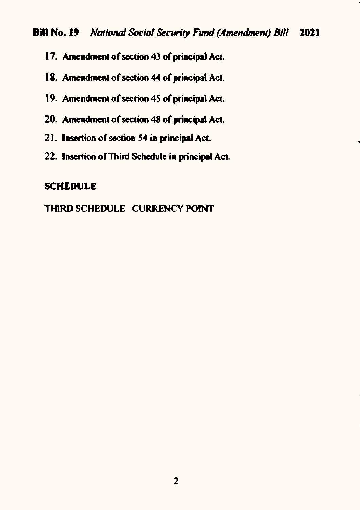- 17. Amendment of section 43 of principal Act.
- 18. Amendment of section 44 of principal Act.
- 19. Amendment of section 45 of principal Act.
- 20. Amendment of section 48 of principal Act.
- 21. Insertion of section 54 in principal Act.
- 22. Insertion of Third Schedule in principal Act.

### **SCHEDULE**

## THIRD SCHEDULE CURRENCY POINT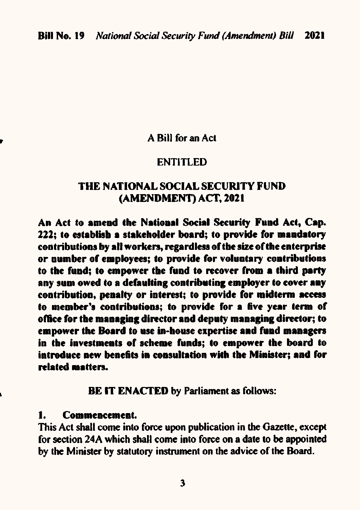A Bill for an Act

## **ENTITLED**

## THE NATIONAL SOCIAL SECURITY FUND (AMENDMENT) ACT, 2021

An Act to amend the National Social Security Fund Act, Cap. 222: to establish a stakeholder board: to provide for mandatory contributions by all workers, regardless of the size of the enterprise or number of employees; to provide for voluntary contributions to the fund; to empower the fund to recover from a third party any sum owed to a defaulting contributing employer to cover any contribution, penalty or interest; to provide for midterm access to member's contributions; to provide for a five year term of office for the managing director and deputy managing director; to empower the Board to use in-house expertise and fund managers in the investments of scheme funds; to empower the board to introduce new benefits in consultation with the Minister; and for related matters.

**BE IT ENACTED by Parliament as follows:** 

#### **Commencement.** 1.

This Act shall come into force upon publication in the Gazette, except for section 24A which shall come into force on a date to be appointed by the Minister by statutory instrument on the advice of the Board.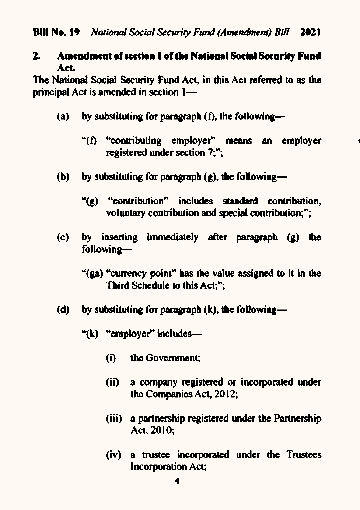### **Amendment of section 1 of the National Social Security Fund**  $2_{\cdot}$ Act.

The National Social Security Fund Act, in this Act referred to as the principal Act is amended in section 1-

- by substituting for paragraph  $(f)$ , the following- $(a)$ 
	- "(f) "contributing employer" means an employer registered under section 7:":
- by substituting for paragraph  $(g)$ , the following- $(b)$ 
	- "(g) "contribution" includes standard contribution, voluntary contribution and special contribution;";
- by inserting immediately after paragraph (g) the  $(c)$ following-
	- "(ga) "currency point" has the value assigned to it in the Third Schedule to this Act:":
- by substituting for paragraph (k), the following—  $(d)$ 
	- " $(k)$  "employer" includes-
		- $(i)$ the Government:
		- $(ii)$ a company registered or incorporated under the Companies Act, 2012:
		- (iii) a partnership registered under the Partnership Act, 2010;
		- (iv) a trustee incorporated under the Trustees **Incorporation Act:**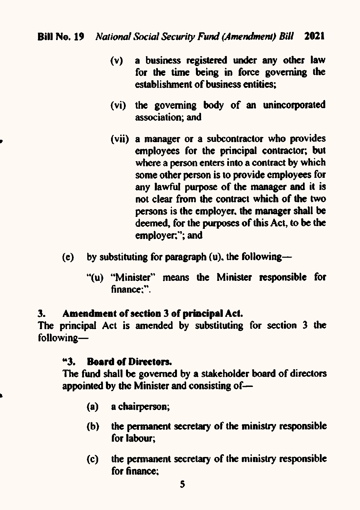- $(v)$  a business registered under any other law for the time being in force governing the establishment of business entities;
- (vi) the governing body of an unincorporated association; and
- (vii) a manager or a subcontractor who provides employees for the principal contractor; but where a person enters into a contract by which some other person is to provide employees for any lawful purpose of the manager and it is not clear from the contract which of the two persons is thc cmploycr. the mamger shall be deemed, for the purposes of this Act, to be the employer:"; and
- (e) by substituting for paragraph  $(u)$ , the following-
	- "(u) "Minister" means the Minister responsible for finance:".

### 3. Amendment of section 3 of principal Act.

The principal Act is amended by substituting for section 3 the following-

## "3. Borrd of Direetorr.

 $\overline{\phantom{a}}$ 

The fund shall be governcd by a stakeholder board of directors appointed by the Minister and consisting of-

- (a) a chairperson;
- (b) the permanent secretary of the ministry responsible for labour;
- (c) the permanent secretary of the ministry responsible for 6nance;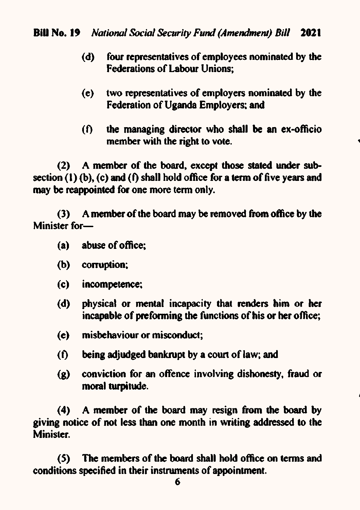- (d) four representatives of employees nominated by the Federations of Labour Unions:
- (e) two representatives of employers nominated by the Federation of Uganda Employers: and
- $(f)$  the managing director who shall be an ex-officio member with the right to vote.

(2) A member of the board, except those stated under subsection (1) (b), (c) and (f) shall hold office for a term of five years and may be reappointed for one more term only.

(3) <sup>A</sup>menrber of the board may be removed fronr office by the Minister for-

- (a) abuse of office;
- (b) corruption;
- (c) incompetence;
- (d) physical or mental incapacity that renders him or her incapable of preforming the functions of his or her office;
- (e) misbehaviour or miscorducl;
- (f) being adjudged bankrupt by a court of law; and
- $(g)$  conviction for an offence involving dishonesty, fraud or moral turpitude.

(4) A member of the board may resign from the board by giving notice of not less than one month in writing addressed to the **Minister.** 

(5) The members of the board shall hold office on terms and conditions specified in their instruments of appointment.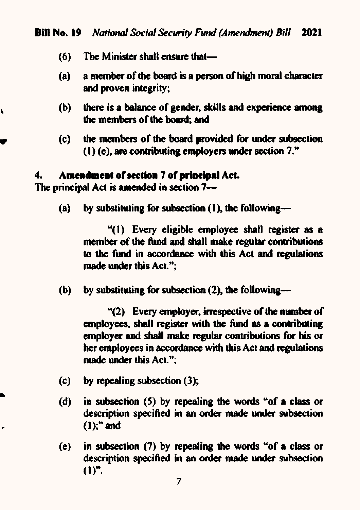- $(6)$ The Minister shall ensure that-
- a member of the board is a person of high moral character  $(a)$ and proven integrity;
- there is a balance of gender, skills and experience among  $(b)$ the members of the board; and
- $(c)$ the members of the board provided for under subsection  $(1)$  (c), are contributing employers under section 7."

#### Amendment of section 7 of principal Act. 4.

The principal Act is amended in section 7-

 $\mathbf{r}$ 

.

 $(a)$ by substituting for subsection (1), the following—

> "(1) Every eligible employee shall register as a member of the fund and shall make regular contributions to the fund in accordance with this Act and regulations made under this Act.":

(b) by substituting for subsection (2), the following—

> "(2) Every employer, irrespective of the number of employees, shall register with the fund as a contributing employer and shall make regular contributions for his or her employees in accordance with this Act and regulations made under this Act.":

- $(c)$ by repealing subsection  $(3)$ ;
- $(d)$ in subsection (5) by repealing the words "of a class or description specified in an order made under subsection  $(1)$ ;" and
- in subsection (7) by repeating the words "of a class or  $(e)$ description specified in an order made under subsection  $(1)^n$ .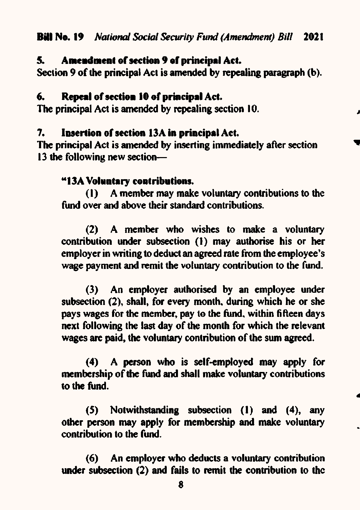#### Amendment of section 9 of principal Act. 5.

Section 9 of the principal Act is amended by repealing paragraph (b).

#### 6. Repeal of section 10 of principal Act.

The principal Act is amended by repealing section 10.

#### 7. Insertion of section 13A in principal Act.

The principal Act is amended by inserting immediately after section 13 the following new section-

## "13A Voluntary contributions.

A member may make voluntary contributions to the  $(1)$ fund over and above their standard contributions.

(2) A member who wishes to make a voluntary contribution under subsection (1) may authorise his or her employer in writing to deduct an agreed rate from the employee's wage payment and remit the voluntary contribution to the fund.

(3) An employer authorised by an employee under subsection (2), shall, for every month, during which he or she pays wages for the member, pay to the fund, within fifteen davs next following the last day of the month for which the relevant wages are paid, the voluntary contribution of the sum agreed.

A person who is self-employed may apply for  $(4)$ membership of the fund and shall make voluntary contributions to the fund.

Notwithstanding subsection (1) and (4), any  $(5)$ other person may apply for membership and make voluntary contribution to the fund.

(6) An employer who deducts a voluntary contribution under subsection (2) and fails to remit the contribution to the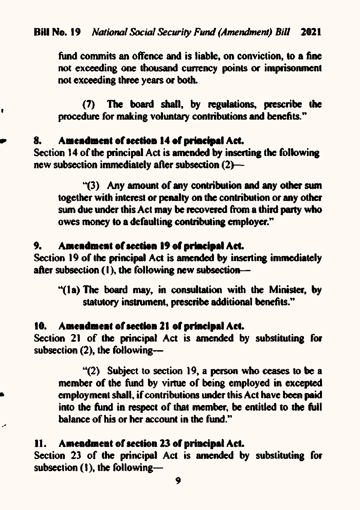fund commits an offence and is liable, on conviction, to a fine not exceeding one thousand currency points or imprisonment not exceeding three years or both.

(7) The board shall, by regulations, prescribe the procedure for making voluntary contributions and benefits."

#### Amendment of section 14 of principal Act. 8.

t

Section 14 of the principal Act is amended by inserting the following new subsection immediately after subsection (2)-

"(3) Any amount of any contribution and any other sum together with interest or penalty on the contribution or any other sum due under this Act may be recovered from a third party who owes money to a defaulting contributing employer."

#### Amendment of section 19 of principal Act. 9.

Section 19 of the principal Act is amended by inserting immediately after subsection (1), the following new subsection-

"(1a) The board may, in consultation with the Minister, by statutory instrument, prescribe additional benefits."

#### Amendment of section 21 of principal Act. 10.

Section 21 of the principal Act is amended by substituting for subsection (2), the following-

"(2) Subject to section 19, a person who ceases to be a member of the fund by virtue of being employed in excepted employment shall, if contributions under this Act have been paid into the fund in respect of that member, be entitled to the full balance of his or her account in the fund."

## 11. Amendment of section 23 of principal Act.

Section 23 of the principal Act is amended by substituting for subsection (1), the following-

9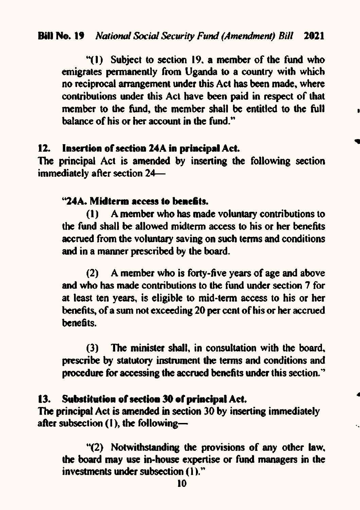"(1) Subject to section 19, a member of the fund who emigrates permanently from Uganda to a country with which no reciprocal arrangement under this Act has been made, where contributions under this Act have been paid in respect of that member to the fund, the member shall be entitled to the full halance of his or her account in the fund."

#### Insertion of section 24A in principal Act.  $12.$

The principal Act is amended by inserting the following section immediately after section 24-

### "24A. Midterm access to benefits.

A member who has made voluntary contributions to 71). the fund shall be allowed midterm access to his or her benefits accrued from the voluntary saving on such terms and conditions and in a manner prescribed by the board.

A member who is forty-five years of age and above  $(2)$ and who has made contributions to the fund under section 7 for at least ten years, is eligible to mid-term access to his or her benefits, of a sum not exceeding 20 per cent of his or her accrued henefits.

(3) The minister shall, in consultation with the board, prescribe by statutory instrument the terms and conditions and procedure for accessing the accrued benefits under this section."

#### Substitution of section 30 of principal Act. 13.

The principal Act is amended in section 30 by inserting immediately after subsection (1), the following-

"(2) Notwithstanding the provisions of any other law, the board may use in-house expertise or fund managers in the investments under subsection (1)."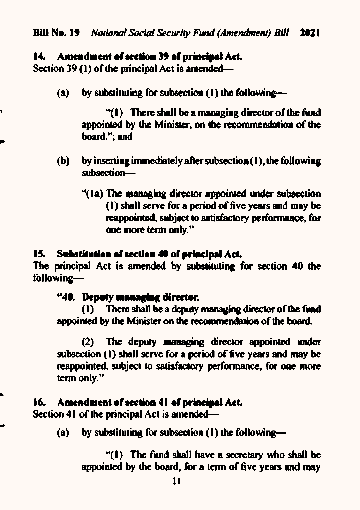#### Amendment of section 39 of principal Act. 14.

Section 39 (1) of the principal Act is amended—

ť

Ñ

٠

by substituting for subsection (1) the following--(a)

> " $(1)$  There shall be a managing director of the fund appointed by the Minister, on the recommendation of the board."; and

- $(b)$ by inserting immediately after subsection (1), the following subsection-
	- "(1a) The managing director appointed under subsection (1) shall serve for a period of five years and may be reappointed, subject to satisfactory performance, for one more term only."

#### Substitution of section 40 of principal Act. 15.

The principal Act is amended by substituting for section 40 the following-

### "40. Deputy managing director.

There shall be a deputy managing director of the fund  $\mathbf{u}$ appointed by the Minister on the recommendation of the board.

 $(2)$ The deputy managing director appointed under subsection (1) shall serve for a period of five years and may be reappointed, subject to satisfactory performance, for one more term only."

#### Amendment of section 41 of principal Act. 16.

Section 41 of the principal Act is amended—

by substituting for subsection (1) the following— (a)

> "(1) The fund shall have a secretary who shall be appointed by the board, for a term of five years and may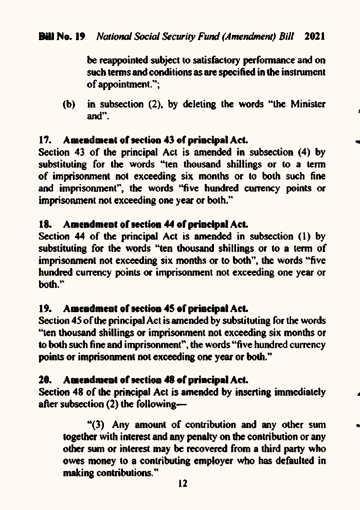be reappointed subject to satisfactory performance and on such terms and conditions as are specified in the instrument of appointment.":

in subsection (2), by deleting the words "the Minister (b) and".

#### Amendment of section 43 of principal Act.  $17.$

Section 43 of the principal Act is amended in subsection (4) by substituting for the words "ten thousand shillings or to a term of imprisonment not exceeding six months or to both such fine and imprisonment", the words "five hundred currency points or imprisonment not exceeding one year or both."

#### **18.** Amendment of section 44 of principal Act.

Section 44 of the principal Act is amended in subsection (1) by substituting for the words "ten thousand shillings or to a term of imprisonment not exceeding six months or to both", the words "five hundred currency points or imprisonment not exceeding one year or hoth."

#### Amendment of section 45 of principal Act. 19.

Section 45 of the principal Act is amended by substituting for the words "ten thousand shillings or imprisonment not exceeding six months or to both such fine and imprisonment", the words "five hundred currency points or imprisonment not exceeding one year or both."

#### **20.** Amendment of section 48 of principal Act.

Section 48 of the principal Act is amended by inserting immediately after subsection  $(2)$  the following-

"(3) Any amount of contribution and any other sum together with interest and any penalty on the contribution or any other sum or interest may be recovered from a third party who owes money to a contributing employer who has defaulted in making contributions."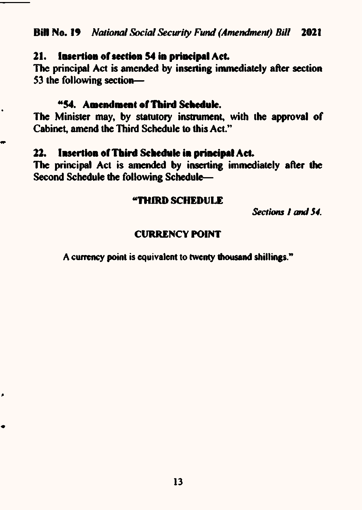#### Insertion of section 54 in principal Act. 21.

The principal Act is amended by inserting immediately after section 53 the following section-

## "54. Amendment of Third Schedule.

 $\bullet$ 

⇔

À

 $\bullet$ 

The Minister may, by statutory instrument, with the approval of Cabinet, amend the Third Schedule to this Act."

#### 22. Insertion of Third Schedule in principal Act.

The principal Act is amended by inserting immediately after the Second Schedule the following Schedule-

## "THIRD SCHEDULE

Sections 1 and 54.

### **CURRENCY POINT**

A currency point is equivalent to twenty thousand shillings."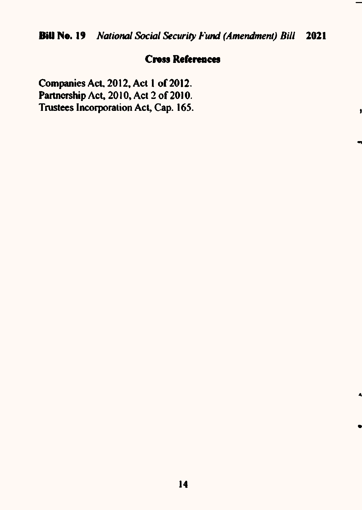# **Cross References**

j

Ą

Companies Act, 2012, Act 1 of 2012. Partnership Act, 2010, Act 2 of 2010. Trustees Incorporation Act, Cap. 165.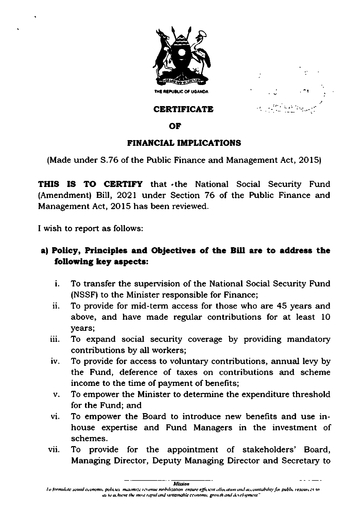



# CERTIFICATE

# OF

# FINANCIAL IMPLICATIONS

(Made under 3.76 of the Public Finance and Management Act, 20l5)

THIS IS TO CERTIFY that the National Social Security Fund (Amendment) Bill, 2O2l under Section 76 of the Public Finance and Management Act, 2Ol5 has been reviewed.

I wish to report as follows:

# a) Policy, Principles and Objectives of the Bill are to address the following key aspects:

- To transfer the supervision of the National Social Security Fund (NSSF) to the Minister responsible for Finance; i.
- ii. To provide for mid-term access for those who are 45 years and above, and have made regular contributions for at least <sup>10</sup> years;
- iii. To expand social security coverage by providing mandatory contributions by all workers;
- lv. To provide for access to voluntary contributions, annual levy by the Fund, deference of taxes on contributions and scheme income to the time of payment of benefits;
- v To empower the Minister to determine the expenditure threshold for the Fund; and
- vl. To empower the Board to introduce new benefits and use inhouse expertise and Fund Managers in the investment of schemes.
- vii. To provide for the appointment of stakeholders' Board, Managing Director, Deputy Managing Director and Secretary to

latission<br>La formulate sound economic policies -maximize revenue mobilization-ensure efficient allocation and accountability for public resources so as to achieve the most rapid and sustainable cconomic growth and development"